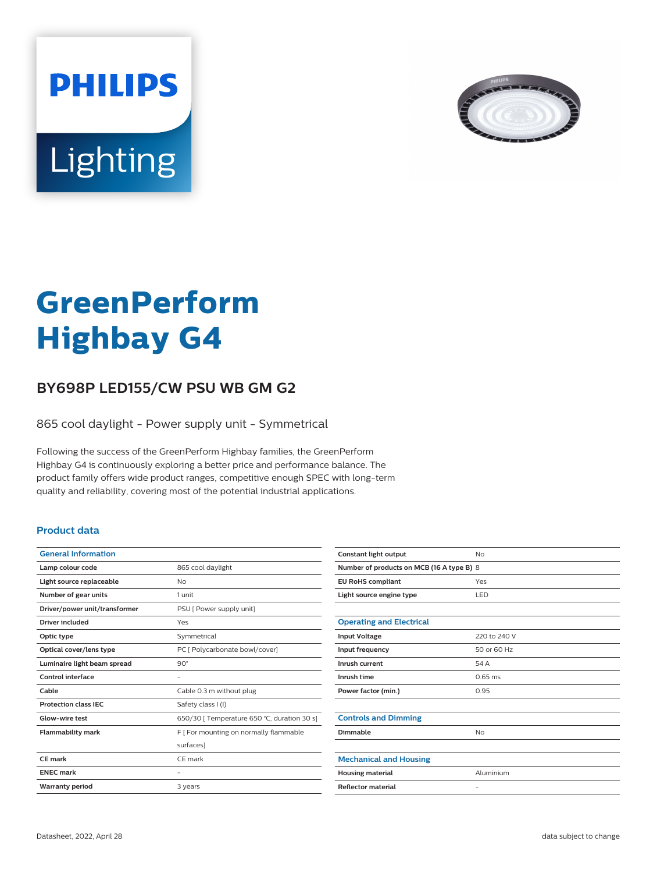



# **GreenPerform Highbay G4**

## **BY698P LED155/CW PSU WB GM G2**

865 cool daylight - Power supply unit - Symmetrical

Following the success of the GreenPerform Highbay families, the GreenPerform Highbay G4 is continuously exploring a better price and performance balance. The product family offers wide product ranges, competitive enough SPEC with long-term quality and reliability, covering most of the potential industrial applications.

#### **Product data**

| 865 cool daylight                           |
|---------------------------------------------|
| No                                          |
| 1 unit                                      |
| PSU [ Power supply unit]                    |
| Yes                                         |
| Symmetrical                                 |
| PC [ Polycarbonate bowl/cover]              |
| $90^\circ$                                  |
|                                             |
| Cable 0.3 m without plug                    |
| Safety class I (I)                          |
| 650/30   Temperature 650 °C, duration 30 s] |
| F   For mounting on normally flammable      |
| surfaces]                                   |
| CF mark                                     |
|                                             |
|                                             |
|                                             |

| Constant light output                     | No                |  |
|-------------------------------------------|-------------------|--|
| Number of products on MCB (16 A type B) 8 |                   |  |
| <b>EU RoHS compliant</b>                  | Yes               |  |
| Light source engine type                  | LED               |  |
|                                           |                   |  |
| <b>Operating and Electrical</b>           |                   |  |
| <b>Input Voltage</b>                      | 220 to 240 V      |  |
| Input frequency                           | 50 or 60 Hz       |  |
| Inrush current                            | 54 A              |  |
| Inrush time                               | $0.65$ ms         |  |
| Power factor (min.)                       | 0.95              |  |
|                                           |                   |  |
| <b>Controls and Dimming</b>               |                   |  |
| Dimmable                                  | <b>No</b>         |  |
|                                           |                   |  |
| <b>Mechanical and Housing</b>             |                   |  |
| <b>Housing material</b>                   | Aluminium         |  |
| <b>Reflector material</b>                 | $\qquad \qquad -$ |  |
|                                           |                   |  |